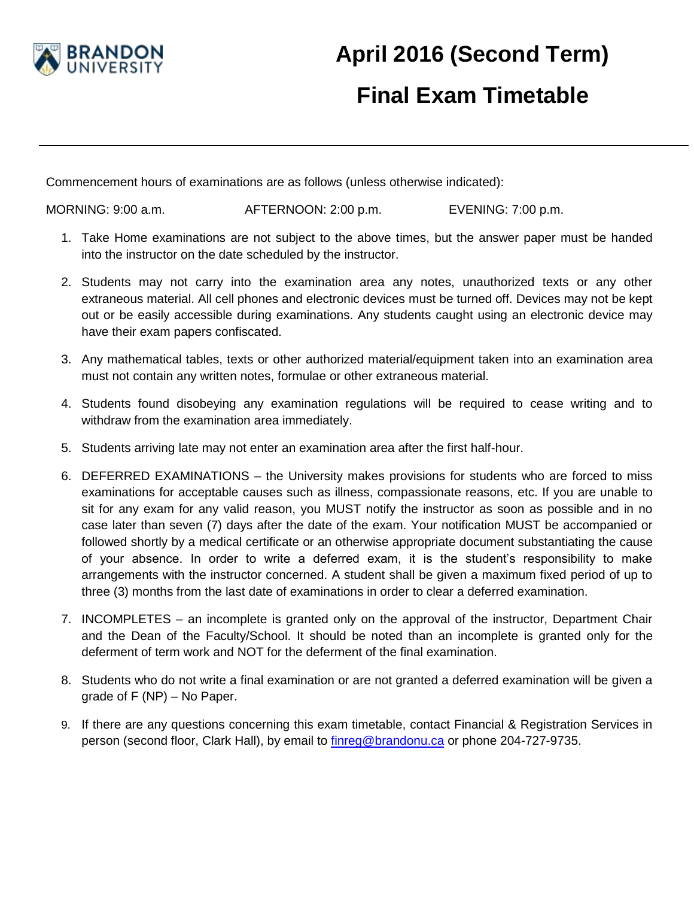

## **April 2016 (Second Term) Final Exam Timetable**

Commencement hours of examinations are as follows (unless otherwise indicated):

MORNING: 9:00 a.m. AFTERNOON: 2:00 p.m. EVENING: 7:00 p.m.

- 1. Take Home examinations are not subject to the above times, but the answer paper must be handed into the instructor on the date scheduled by the instructor.
- 2. Students may not carry into the examination area any notes, unauthorized texts or any other extraneous material. All cell phones and electronic devices must be turned off. Devices may not be kept out or be easily accessible during examinations. Any students caught using an electronic device may have their exam papers confiscated.
- 3. Any mathematical tables, texts or other authorized material/equipment taken into an examination area must not contain any written notes, formulae or other extraneous material.
- 4. Students found disobeying any examination regulations will be required to cease writing and to withdraw from the examination area immediately.
- 5. Students arriving late may not enter an examination area after the first half-hour.
- 6. DEFERRED EXAMINATIONS the University makes provisions for students who are forced to miss examinations for acceptable causes such as illness, compassionate reasons, etc. If you are unable to sit for any exam for any valid reason, you MUST notify the instructor as soon as possible and in no case later than seven (7) days after the date of the exam. Your notification MUST be accompanied or followed shortly by a medical certificate or an otherwise appropriate document substantiating the cause of your absence. In order to write a deferred exam, it is the student's responsibility to make arrangements with the instructor concerned. A student shall be given a maximum fixed period of up to three (3) months from the last date of examinations in order to clear a deferred examination.
- 7. INCOMPLETES an incomplete is granted only on the approval of the instructor, Department Chair and the Dean of the Faculty/School. It should be noted than an incomplete is granted only for the deferment of term work and NOT for the deferment of the final examination.
- 8. Students who do not write a final examination or are not granted a deferred examination will be given a grade of F (NP) – No Paper.
- 9. If there are any questions concerning this exam timetable, contact Financial & Registration Services in person (second floor, Clark Hall), by email to [finreg@brandonu.ca](mailto:finreg@brandonu.ca) or phone 204-727-9735.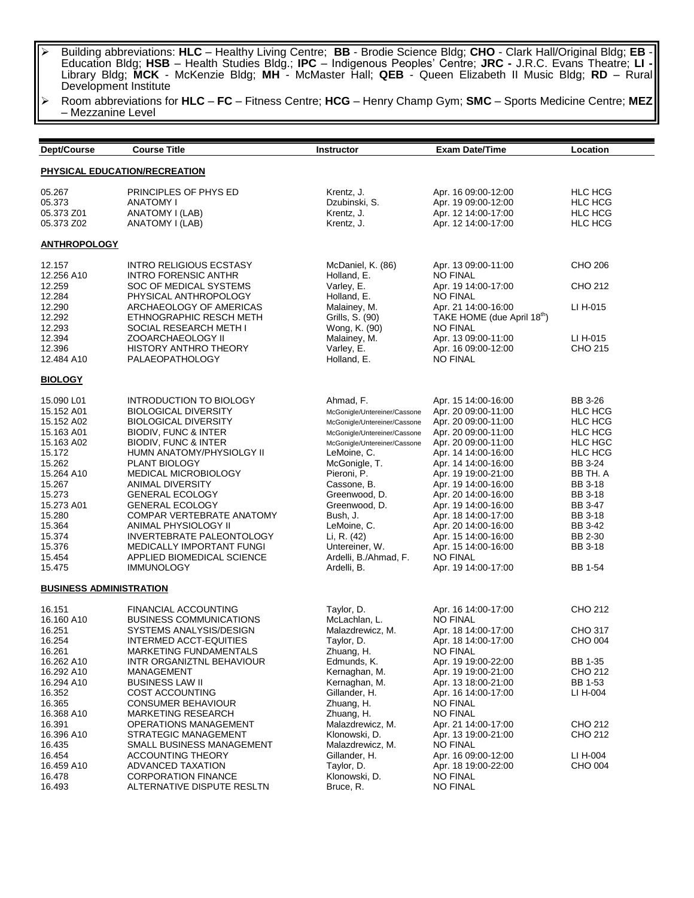Building abbreviations: **HLC** – Healthy Living Centre; **BB** - Brodie Science Bldg; **CHO** - Clark Hall/Original Bldg; **EB** - Education Bldg; **HSB** – Health Studies Bldg.; **IPC** – Indigenous Peoples' Centre; **JRC -** J.R.C. Evans Theatre; **LI -** Library Bldg; **MCK** - McKenzie Bldg; **MH** - McMaster Hall; **QEB** - Queen Elizabeth II Music Bldg; **RD** – Rural Development Institute

 Room abbreviations for **HLC** – **FC** – Fitness Centre; **HCG** – Henry Champ Gym; **SMC** – Sports Medicine Centre; **MEZ** – Mezzanine Level

| Dept/Course                    | <b>Course Title</b>                                       | <b>Instructor</b>            | <b>Exam Date/Time</b>                      | Location            |  |  |
|--------------------------------|-----------------------------------------------------------|------------------------------|--------------------------------------------|---------------------|--|--|
| PHYSICAL EDUCATION/RECREATION  |                                                           |                              |                                            |                     |  |  |
| 05.267                         | PRINCIPLES OF PHYS ED                                     | Krentz, J.                   | Apr. 16 09:00-12:00                        | <b>HLC HCG</b>      |  |  |
| 05.373                         | <b>ANATOMY I</b>                                          | Dzubinski, S.                | Apr. 19 09:00-12:00                        | <b>HLC HCG</b>      |  |  |
| 05.373 Z01                     | ANATOMY I (LAB)                                           | Krentz, J.                   | Apr. 12 14:00-17:00                        | <b>HLC HCG</b>      |  |  |
| 05.373 Z02                     | ANATOMY I (LAB)                                           | Krentz, J.                   | Apr. 12 14:00-17:00                        | <b>HLC HCG</b>      |  |  |
| <b>ANTHROPOLOGY</b>            |                                                           |                              |                                            |                     |  |  |
| 12.157                         | <b>INTRO RELIGIOUS ECSTASY</b>                            | McDaniel, K. (86)            | Apr. 13 09:00-11:00                        | CHO 206             |  |  |
| 12.256 A10<br>12.259           | <b>INTRO FORENSIC ANTHR</b><br>SOC OF MEDICAL SYSTEMS     | Holland, E.<br>Varley, E.    | <b>NO FINAL</b><br>Apr. 19 14:00-17:00     | CHO 212             |  |  |
| 12.284                         | PHYSICAL ANTHROPOLOGY                                     | Holland, E.                  | <b>NO FINAL</b>                            |                     |  |  |
| 12.290                         | ARCHAEOLOGY OF AMERICAS                                   | Malainey, M.                 | Apr. 21 14:00-16:00                        | LI H-015            |  |  |
| 12.292                         | ETHNOGRAPHIC RESCH METH                                   | Grills, S. (90)              | TAKE HOME (due April 18 <sup>th</sup> )    |                     |  |  |
| 12.293                         | SOCIAL RESEARCH METH I                                    | Wong, K. (90)                | <b>NO FINAL</b>                            |                     |  |  |
| 12.394                         | ZOOARCHAEOLOGY II                                         | Malainey, M.                 | Apr. 13 09:00-11:00                        | LI H-015            |  |  |
| 12.396                         | <b>HISTORY ANTHRO THEORY</b>                              | Varley, E.                   | Apr. 16 09:00-12:00                        | CHO 215             |  |  |
| 12.484 A10                     | PALAEOPATHOLOGY                                           | Holland, E.                  | <b>NO FINAL</b>                            |                     |  |  |
| <b>BIOLOGY</b>                 |                                                           |                              |                                            |                     |  |  |
| 15.090 L01                     | <b>INTRODUCTION TO BIOLOGY</b>                            | Ahmad, F.                    | Apr. 15 14:00-16:00                        | BB 3-26             |  |  |
| 15.152 A01                     | <b>BIOLOGICAL DIVERSITY</b>                               | McGonigle/Untereiner/Cassone | Apr. 20 09:00-11:00                        | <b>HLC HCG</b>      |  |  |
| 15.152 A02                     | <b>BIOLOGICAL DIVERSITY</b>                               | McGonigle/Untereiner/Cassone | Apr. 20 09:00-11:00                        | <b>HLC HCG</b>      |  |  |
| 15.163 A01                     | <b>BIODIV, FUNC &amp; INTER</b>                           | McGonigle/Untereiner/Cassone | Apr. 20 09:00-11:00                        | <b>HLC HCG</b>      |  |  |
| 15.163 A02                     | BIODIV, FUNC & INTER                                      | McGonigle/Untereiner/Cassone | Apr. 20 09:00-11:00                        | <b>HLC HGC</b>      |  |  |
| 15.172                         | HUMN ANATOMY/PHYSIOLGY II                                 | LeMoine, C.                  | Apr. 14 14:00-16:00                        | <b>HLC HCG</b>      |  |  |
| 15.262<br>15.264 A10           | PLANT BIOLOGY<br><b>MEDICAL MICROBIOLOGY</b>              | McGonigle, T.                | Apr. 14 14:00-16:00                        | BB 3-24<br>BB TH. A |  |  |
| 15.267                         | ANIMAL DIVERSITY                                          | Pieroni, P.<br>Cassone, B.   | Apr. 19 19:00-21:00<br>Apr. 19 14:00-16:00 | BB 3-18             |  |  |
| 15.273                         | <b>GENERAL ECOLOGY</b>                                    | Greenwood, D.                | Apr. 20 14:00-16:00                        | <b>BB 3-18</b>      |  |  |
| 15.273 A01                     | <b>GENERAL ECOLOGY</b>                                    | Greenwood, D.                | Apr. 19 14:00-16:00                        | BB 3-47             |  |  |
| 15.280                         | COMPAR VERTEBRATE ANATOMY                                 | Bush, J.                     | Apr. 18 14:00-17:00                        | <b>BB 3-18</b>      |  |  |
| 15.364                         | ANIMAL PHYSIOLOGY II                                      | LeMoine, C.                  | Apr. 20 14:00-16:00                        | BB 3-42             |  |  |
| 15.374                         | INVERTEBRATE PALEONTOLOGY                                 | Li, R. (42)                  | Apr. 15 14:00-16:00                        | BB 2-30             |  |  |
| 15.376                         | <b>MEDICALLY IMPORTANT FUNGI</b>                          | Untereiner, W.               | Apr. 15 14:00-16:00                        | <b>BB 3-18</b>      |  |  |
| 15.454                         | APPLIED BIOMEDICAL SCIENCE                                | Ardelli, B./Ahmad, F.        | <b>NO FINAL</b>                            |                     |  |  |
| 15.475                         | <b>IMMUNOLOGY</b>                                         | Ardelli, B.                  | Apr. 19 14:00-17:00                        | BB 1-54             |  |  |
| <b>BUSINESS ADMINISTRATION</b> |                                                           |                              |                                            |                     |  |  |
| 16.151                         | <b>FINANCIAL ACCOUNTING</b>                               | Taylor, D.                   | Apr. 16 14:00-17:00                        | CHO 212             |  |  |
| 16.160 A10                     | <b>BUSINESS COMMUNICATIONS</b>                            | McLachlan, L.                | <b>NO FINAL</b>                            |                     |  |  |
| 16.251                         | SYSTEMS ANALYSIS/DESIGN                                   | Malazdrewicz, M.             | Apr. 18 14:00-17:00                        | CHO 317             |  |  |
| 16.254                         | INTERMED ACCT-EQUITIES                                    | Taylor, D.                   | Apr. 18 14:00-17:00                        | CHO 004             |  |  |
| 16.261                         | MARKETING FUNDAMENTALS                                    | Zhuang, H.                   | <b>NO FINAL</b>                            |                     |  |  |
| 16.262 A10                     | INTR ORGANIZTNL BEHAVIOUR                                 | Edmunds, K.                  | Apr. 19 19:00-22:00                        | BB 1-35             |  |  |
| 16.292 A10                     | MANAGEMENT                                                | Kernaghan, M.                | Apr. 19 19:00-21:00                        | CHO 212             |  |  |
| 16.294 A10                     | <b>BUSINESS LAW II</b>                                    | Kernaghan, M.                | Apr. 13 18:00-21:00                        | BB 1-53             |  |  |
| 16.352                         | COST ACCOUNTING                                           | Gillander, H.                | Apr. 16 14:00-17:00                        | LI H-004            |  |  |
| 16.365                         | <b>CONSUMER BEHAVIOUR</b>                                 | Zhuang, H.<br>Zhuang, H.     | <b>NO FINAL</b><br><b>NO FINAL</b>         |                     |  |  |
| 16.368 A10<br>16.391           | <b>MARKETING RESEARCH</b><br><b>OPERATIONS MANAGEMENT</b> | Malazdrewicz, M.             | Apr. 21 14:00-17:00                        | CHO 212             |  |  |
| 16.396 A10                     | STRATEGIC MANAGEMENT                                      | Klonowski, D.                | Apr. 13 19:00-21:00                        | CHO 212             |  |  |
| 16.435                         | SMALL BUSINESS MANAGEMENT                                 | Malazdrewicz, M.             | <b>NO FINAL</b>                            |                     |  |  |
| 16.454                         | <b>ACCOUNTING THEORY</b>                                  | Gillander, H.                | Apr. 16 09:00-12:00                        | LI H-004            |  |  |
| 16.459 A10                     | ADVANCED TAXATION                                         | Taylor, D.                   | Apr. 18 19:00-22:00                        | CHO 004             |  |  |
| 16.478                         | <b>CORPORATION FINANCE</b>                                | Klonowski. D.                | <b>NO FINAL</b>                            |                     |  |  |
| 16.493                         | ALTERNATIVE DISPUTE RESLTN                                | Bruce, R.                    | <b>NO FINAL</b>                            |                     |  |  |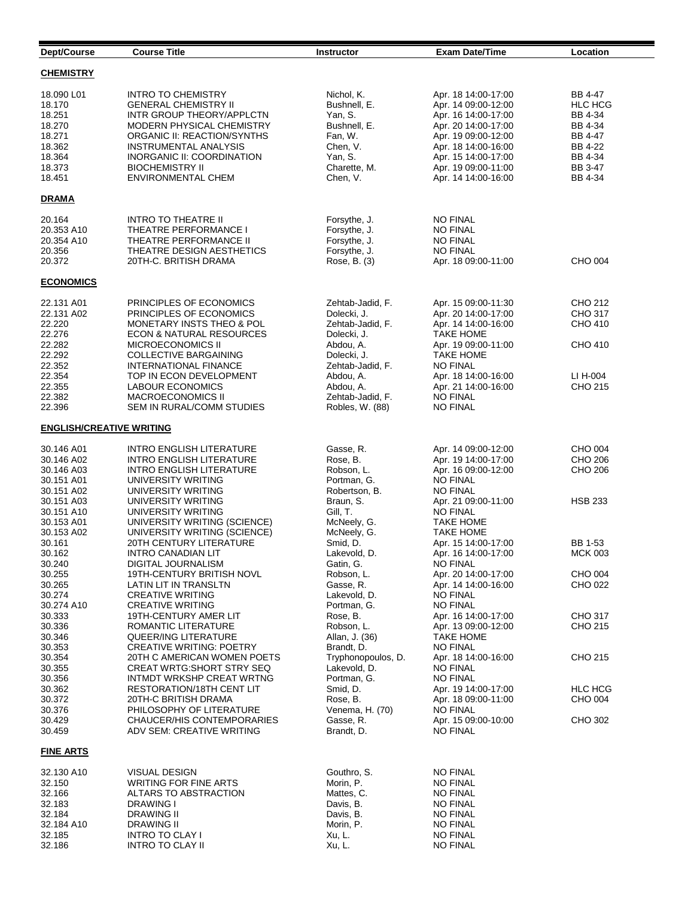| Dept/Course                                                                                              | <b>Course Title</b>                                                                                                                                                                                                                                                                           | <b>Instructor</b>                                                                                                                                                | <b>Exam Date/Time</b>                                                                                                                                                                                         | Location                                                                                               |
|----------------------------------------------------------------------------------------------------------|-----------------------------------------------------------------------------------------------------------------------------------------------------------------------------------------------------------------------------------------------------------------------------------------------|------------------------------------------------------------------------------------------------------------------------------------------------------------------|---------------------------------------------------------------------------------------------------------------------------------------------------------------------------------------------------------------|--------------------------------------------------------------------------------------------------------|
| <b>CHEMISTRY</b>                                                                                         |                                                                                                                                                                                                                                                                                               |                                                                                                                                                                  |                                                                                                                                                                                                               |                                                                                                        |
| 18.090 L01<br>18.170<br>18.251<br>18.270<br>18.271<br>18.362<br>18.364<br>18.373<br>18.451               | <b>INTRO TO CHEMISTRY</b><br><b>GENERAL CHEMISTRY II</b><br>INTR GROUP THEORY/APPLCTN<br>MODERN PHYSICAL CHEMISTRY<br>ORGANIC II: REACTION/SYNTHS<br><b>INSTRUMENTAL ANALYSIS</b><br><b>INORGANIC II: COORDINATION</b><br><b>BIOCHEMISTRY II</b><br><b>ENVIRONMENTAL CHEM</b>                 | Nichol, K.<br>Bushnell, E.<br>Yan, S.<br>Bushnell, E.<br>Fan, W.<br>Chen, V.<br>Yan, S.<br>Charette, M.<br>Chen, V.                                              | Apr. 18 14:00-17:00<br>Apr. 14 09:00-12:00<br>Apr. 16 14:00-17:00<br>Apr. 20 14:00-17:00<br>Apr. 19 09:00-12:00<br>Apr. 18 14:00-16:00<br>Apr. 15 14:00-17:00<br>Apr. 19 09:00-11:00<br>Apr. 14 14:00-16:00   | BB 4-47<br><b>HLC HCG</b><br>BB 4-34<br>BB 4-34<br>BB 4-47<br>BB 4-22<br>BB 4-34<br>BB 3-47<br>BB 4-34 |
| <b>DRAMA</b>                                                                                             |                                                                                                                                                                                                                                                                                               |                                                                                                                                                                  |                                                                                                                                                                                                               |                                                                                                        |
| 20.164<br>20.353 A10<br>20.354 A10<br>20.356<br>20.372                                                   | <b>INTRO TO THEATRE II</b><br>THEATRE PERFORMANCE I<br>THEATRE PERFORMANCE II<br>THEATRE DESIGN AESTHETICS<br>20TH-C. BRITISH DRAMA                                                                                                                                                           | Forsythe, J.<br>Forsythe, J.<br>Forsythe, J.<br>Forsythe, J.<br>Rose, B. (3)                                                                                     | <b>NO FINAL</b><br><b>NO FINAL</b><br><b>NO FINAL</b><br><b>NO FINAL</b><br>Apr. 18 09:00-11:00                                                                                                               | CHO 004                                                                                                |
| <b>ECONOMICS</b>                                                                                         |                                                                                                                                                                                                                                                                                               |                                                                                                                                                                  |                                                                                                                                                                                                               |                                                                                                        |
| 22.131 A01<br>22.131 A02<br>22.220<br>22.276<br>22.282<br>22.292<br>22.352<br>22.354<br>22.355<br>22.382 | PRINCIPLES OF ECONOMICS<br>PRINCIPLES OF ECONOMICS<br>MONETARY INSTS THEO & POL<br><b>ECON &amp; NATURAL RESOURCES</b><br>MICROECONOMICS II<br><b>COLLECTIVE BARGAINING</b><br><b>INTERNATIONAL FINANCE</b><br>TOP IN ECON DEVELOPMENT<br><b>LABOUR ECONOMICS</b><br><b>MACROECONOMICS II</b> | Zehtab-Jadid, F.<br>Dolecki, J.<br>Zehtab-Jadid, F.<br>Dolecki, J.<br>Abdou, A.<br>Dolecki, J.<br>Zehtab-Jadid, F.<br>Abdou, A.<br>Abdou, A.<br>Zehtab-Jadid, F. | Apr. 15 09:00-11:30<br>Apr. 20 14:00-17:00<br>Apr. 14 14:00-16:00<br><b>TAKE HOME</b><br>Apr. 19 09:00-11:00<br>TAKE HOME<br><b>NO FINAL</b><br>Apr. 18 14:00-16:00<br>Apr. 21 14:00-16:00<br><b>NO FINAL</b> | CHO 212<br>CHO 317<br>CHO 410<br>CHO 410<br>LI H-004<br>CHO 215                                        |
| 22.396<br><b>ENGLISH/CREATIVE WRITING</b>                                                                | SEM IN RURAL/COMM STUDIES                                                                                                                                                                                                                                                                     | Robles, W. (88)                                                                                                                                                  | <b>NO FINAL</b>                                                                                                                                                                                               |                                                                                                        |
| 30.146 A01<br>30.146 A02                                                                                 | <b>INTRO ENGLISH LITERATURE</b><br><b>INTRO ENGLISH LITERATURE</b>                                                                                                                                                                                                                            | Gasse, R.<br>Rose, B.                                                                                                                                            | Apr. 14 09:00-12:00<br>Apr. 19 14:00-17:00                                                                                                                                                                    | CHO 004<br>CHO 206                                                                                     |
| 30.146 A03<br>30.151 A01<br>30.151 A02<br>30.151 A03<br>30.151 A10                                       | <b>INTRO ENGLISH LITERATURE</b><br>UNIVERSITY WRITING<br>UNIVERSITY WRITING<br>UNIVERSITY WRITING<br>UNIVERSITY WRITING                                                                                                                                                                       | Robson, L.<br>Portman, G.<br>Robertson, B.<br>Braun, S.<br>Gill, T.                                                                                              | Apr. 16 09:00-12:00<br><b>NO FINAL</b><br><b>NO FINAL</b><br>Apr. 21 09:00-11:00<br><b>NO FINAL</b>                                                                                                           | CHO 206<br><b>HSB 233</b>                                                                              |
| 30.153 A01<br>30.153 A02<br>30.161<br>30.162                                                             | UNIVERSITY WRITING (SCIENCE)<br>UNIVERSITY WRITING (SCIENCE)<br><b>20TH CENTURY LITERATURE</b><br><b>INTRO CANADIAN LIT</b><br><b>DIGITAL JOURNALISM</b>                                                                                                                                      | McNeely, G.<br>McNeely, G.<br>Smid, D.<br>Lakevold, D.                                                                                                           | <b>TAKE HOME</b><br>TAKE HOME<br>Apr. 15 14:00-17:00<br>Apr. 16 14:00-17:00<br><b>NO FINAL</b>                                                                                                                | BB 1-53<br><b>MCK 003</b>                                                                              |
| 30.240<br>30.255<br>30.265<br>30.274<br>30.274 A10                                                       | 19TH-CENTURY BRITISH NOVL<br>LATIN LIT IN TRANSLTN<br><b>CREATIVE WRITING</b><br><b>CREATIVE WRITING</b>                                                                                                                                                                                      | Gatin, G.<br>Robson, L.<br>Gasse, R.<br>Lakevold, D.<br>Portman, G.                                                                                              | Apr. 20 14:00-17:00<br>Apr. 14 14:00-16:00<br>NO FINAL<br><b>NO FINAL</b>                                                                                                                                     | CHO 004<br>CHO 022                                                                                     |
| 30.333<br>30.336<br>30.346<br>30.353                                                                     | <b>19TH-CENTURY AMER LIT</b><br>ROMANTIC LITERATURE<br>QUEER/ING LITERATURE<br><b>CREATIVE WRITING: POETRY</b>                                                                                                                                                                                | Rose, B.<br>Robson, L.<br>Allan, J. (36)<br>Brandt, D.                                                                                                           | Apr. 16 14:00-17:00<br>Apr. 13 09:00-12:00<br><b>TAKE HOME</b><br><b>NO FINAL</b>                                                                                                                             | <b>CHO 317</b><br>CHO 215                                                                              |
| 30.354<br>30.355<br>30.356                                                                               | 20TH C AMERICAN WOMEN POETS<br>CREAT WRTG:SHORT STRY SEQ<br>INTMDT WRKSHP CREAT WRTNG                                                                                                                                                                                                         | Tryphonopoulos, D.<br>Lakevold, D.<br>Portman, G.                                                                                                                | Apr. 18 14:00-16:00<br><b>NO FINAL</b><br><b>NO FINAL</b>                                                                                                                                                     | CHO 215                                                                                                |
| 30.362<br>30.372<br>30.376<br>30.429                                                                     | RESTORATION/18TH CENT LIT<br>20TH-C BRITISH DRAMA<br>PHILOSOPHY OF LITERATURE<br><b>CHAUCER/HIS CONTEMPORARIES</b>                                                                                                                                                                            | Smid, D.<br>Rose, B.<br>Venema, H. (70)<br>Gasse, R.                                                                                                             | Apr. 19 14:00-17:00<br>Apr. 18 09:00-11:00<br><b>NO FINAL</b><br>Apr. 15 09:00-10:00                                                                                                                          | <b>HLC HCG</b><br>CHO 004<br>CHO 302                                                                   |
| 30.459                                                                                                   | ADV SEM: CREATIVE WRITING                                                                                                                                                                                                                                                                     | Brandt, D.                                                                                                                                                       | <b>NO FINAL</b>                                                                                                                                                                                               |                                                                                                        |
| <b>FINE ARTS</b>                                                                                         |                                                                                                                                                                                                                                                                                               |                                                                                                                                                                  |                                                                                                                                                                                                               |                                                                                                        |
| 32.130 A10<br>32.150<br>32.166<br>32.183<br>32.184<br>32.184 A10<br>32.185<br>32.186                     | <b>VISUAL DESIGN</b><br><b>WRITING FOR FINE ARTS</b><br>ALTARS TO ABSTRACTION<br><b>DRAWING I</b><br>DRAWING II<br>DRAWING II<br><b>INTRO TO CLAY I</b><br><b>INTRO TO CLAY II</b>                                                                                                            | Gouthro, S.<br>Morin, P.<br>Mattes, C.<br>Davis, B.<br>Davis, B.<br>Morin, P.<br>Xu, L.<br>Xu, L.                                                                | <b>NO FINAL</b><br><b>NO FINAL</b><br><b>NO FINAL</b><br><b>NO FINAL</b><br><b>NO FINAL</b><br><b>NO FINAL</b><br><b>NO FINAL</b><br><b>NO FINAL</b>                                                          |                                                                                                        |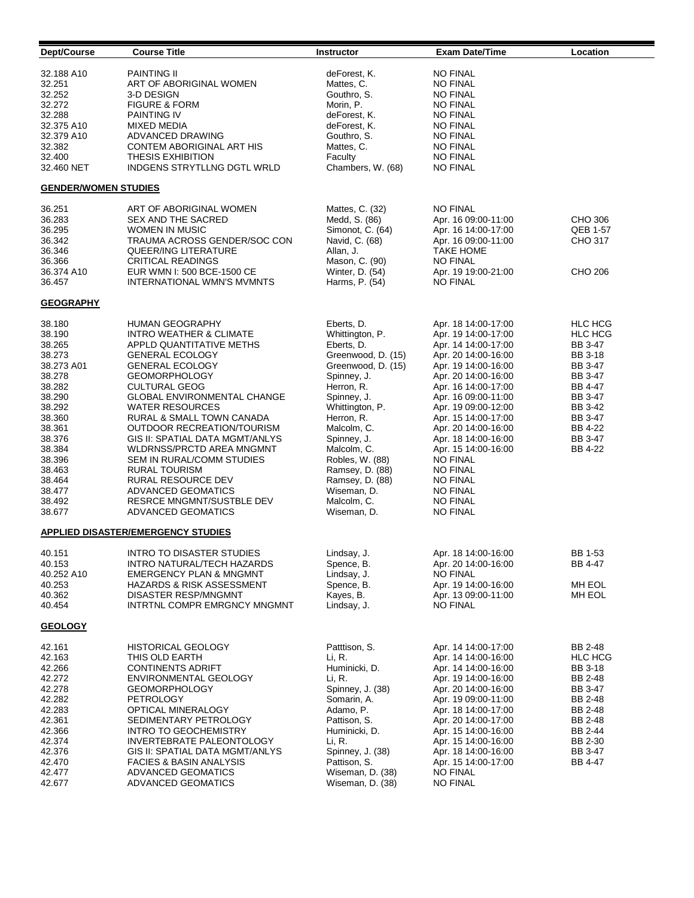| Dept/Course                 | <b>Course Title</b>                       | Instructor         | <b>Exam Date/Time</b> | Location       |
|-----------------------------|-------------------------------------------|--------------------|-----------------------|----------------|
| 32.188 A10                  | <b>PAINTING II</b>                        | deForest, K.       | <b>NO FINAL</b>       |                |
| 32.251                      | ART OF ABORIGINAL WOMEN                   | Mattes, C.         | <b>NO FINAL</b>       |                |
| 32.252                      | 3-D DESIGN                                | Gouthro, S.        | <b>NO FINAL</b>       |                |
| 32.272                      | <b>FIGURE &amp; FORM</b>                  | Morin, P.          | <b>NO FINAL</b>       |                |
| 32.288                      | <b>PAINTING IV</b>                        | deForest, K.       | <b>NO FINAL</b>       |                |
| 32.375 A10                  | <b>MIXED MEDIA</b>                        | deForest, K.       | <b>NO FINAL</b>       |                |
| 32.379 A10                  | ADVANCED DRAWING                          | Gouthro, S.        | <b>NO FINAL</b>       |                |
| 32.382                      | CONTEM ABORIGINAL ART HIS                 | Mattes, C.         | <b>NO FINAL</b>       |                |
| 32.400                      | <b>THESIS EXHIBITION</b>                  | Faculty            | <b>NO FINAL</b>       |                |
| 32.460 NET                  | INDGENS STRYTLLNG DGTL WRLD               | Chambers, W. (68)  | <b>NO FINAL</b>       |                |
| <b>GENDER/WOMEN STUDIES</b> |                                           |                    |                       |                |
| 36.251                      | ART OF ABORIGINAL WOMEN                   | Mattes, C. (32)    | <b>NO FINAL</b>       |                |
| 36.283                      | SEX AND THE SACRED                        | Medd, S. (86)      | Apr. 16 09:00-11:00   | CHO 306        |
| 36.295                      | WOMEN IN MUSIC                            | Simonot, C. (64)   | Apr. 16 14:00-17:00   | QEB 1-57       |
| 36.342                      | TRAUMA ACROSS GENDER/SOC CON              | Navid, C. (68)     | Apr. 16 09:00-11:00   | CHO 317        |
| 36.346                      | QUEER/ING LITERATURE                      | Allan, J.          | <b>TAKE HOME</b>      |                |
| 36.366                      | <b>CRITICAL READINGS</b>                  | Mason, C. (90)     | <b>NO FINAL</b>       |                |
| 36.374 A10                  | EUR WMN I: 500 BCE-1500 CE                | Winter, D. (54)    | Apr. 19 19:00-21:00   | CHO 206        |
| 36.457                      | INTERNATIONAL WMN'S MVMNTS                | Harms, P. (54)     | <b>NO FINAL</b>       |                |
| <b>GEOGRAPHY</b>            |                                           |                    |                       |                |
| 38.180                      | HUMAN GEOGRAPHY                           | Eberts, D.         | Apr. 18 14:00-17:00   | <b>HLC HCG</b> |
| 38.190                      | <b>INTRO WEATHER &amp; CLIMATE</b>        | Whittington, P.    | Apr. 19 14:00-17:00   | <b>HLC HCG</b> |
| 38.265                      | APPLD QUANTITATIVE METHS                  | Eberts, D.         | Apr. 14 14:00-17:00   | BB 3-47        |
| 38.273                      | <b>GENERAL ECOLOGY</b>                    | Greenwood, D. (15) | Apr. 20 14:00-16:00   | BB 3-18        |
| 38.273 A01                  | <b>GENERAL ECOLOGY</b>                    | Greenwood, D. (15) | Apr. 19 14:00-16:00   | BB 3-47        |
| 38.278                      | <b>GEOMORPHOLOGY</b>                      | Spinney, J.        | Apr. 20 14:00-16:00   | BB 3-47        |
| 38.282                      | <b>CULTURAL GEOG</b>                      | Herron, R.         | Apr. 16 14:00-17:00   | BB 4-47        |
| 38.290                      | GLOBAL ENVIRONMENTAL CHANGE               | Spinney, J.        | Apr. 16 09:00-11:00   | BB 3-47        |
| 38.292                      | <b>WATER RESOURCES</b>                    | Whittington, P.    | Apr. 19 09:00-12:00   | BB 3-42        |
| 38.360                      | RURAL & SMALL TOWN CANADA                 | Herron, R.         | Apr. 15 14:00-17:00   | BB 3-47        |
| 38.361                      | OUTDOOR RECREATION/TOURISM                | Malcolm, C.        | Apr. 20 14:00-16:00   | BB 4-22        |
| 38.376                      | GIS II: SPATIAL DATA MGMT/ANLYS           | Spinney, J.        | Apr. 18 14:00-16:00   | BB 3-47        |
| 38.384                      | <b>WLDRNSS/PRCTD AREA MNGMNT</b>          | Malcolm, C.        | Apr. 15 14:00-16:00   | BB 4-22        |
| 38.396                      | SEM IN RURAL/COMM STUDIES                 | Robles, W. (88)    | <b>NO FINAL</b>       |                |
| 38.463                      | <b>RURAL TOURISM</b>                      | Ramsey, D. (88)    | <b>NO FINAL</b>       |                |
| 38.464                      | RURAL RESOURCE DEV                        | Ramsey, D. (88)    | <b>NO FINAL</b>       |                |
| 38.477                      | <b>ADVANCED GEOMATICS</b>                 | Wiseman, D.        | <b>NO FINAL</b>       |                |
| 38.492                      | <b>RESRCE MNGMNT/SUSTBLE DEV</b>          | Malcolm, C.        | <b>NO FINAL</b>       |                |
| 38.677                      | <b>ADVANCED GEOMATICS</b>                 | Wiseman, D.        | <b>NO FINAL</b>       |                |
|                             | <b>APPLIED DISASTER/EMERGENCY STUDIES</b> |                    |                       |                |
| 40.151                      | <b>INTRO TO DISASTER STUDIES</b>          | Lindsay, J.        | Apr. 18 14:00-16:00   | BB 1-53        |
| 40.153                      | INTRO NATURAL/TECH HAZARDS                | Spence, B.         | Apr. 20 14:00-16:00   | BB 4-47        |
| 40.252 A10                  | <b>EMERGENCY PLAN &amp; MNGMNT</b>        | Lindsay, J.        | <b>NO FINAL</b>       |                |
| 40.253                      | <b>HAZARDS &amp; RISK ASSESSMENT</b>      | Spence, B.         | Apr. 19 14:00-16:00   | MH EOL         |
| 40.362                      | DISASTER RESP/MNGMNT                      | Kayes, B.          | Apr. 13 09:00-11:00   | MH EOL         |
| 40.454                      | INTRTNL COMPR EMRGNCY MNGMNT              | Lindsay, J.        | <b>NO FINAL</b>       |                |
| <b>GEOLOGY</b>              |                                           |                    |                       |                |
| 42.161                      | <b>HISTORICAL GEOLOGY</b>                 | Patttison, S.      | Apr. 14 14:00-17:00   | BB 2-48        |
| 42.163                      | THIS OLD EARTH                            | Li, R.             | Apr. 14 14:00-16:00   | <b>HLC HCG</b> |
| 42.266                      | <b>CONTINENTS ADRIFT</b>                  | Huminicki, D.      | Apr. 14 14:00-16:00   | <b>BB 3-18</b> |
| 42.272                      | ENVIRONMENTAL GEOLOGY                     | Li, R.             | Apr. 19 14:00-16:00   | BB 2-48        |
| 42.278                      | <b>GEOMORPHOLOGY</b>                      | Spinney, J. (38)   | Apr. 20 14:00-16:00   | BB 3-47        |
| 42.282                      | PETROLOGY                                 | Somarin, A.        | Apr. 19 09:00-11:00   | BB 2-48        |
| 42.283                      | OPTICAL MINERALOGY                        | Adamo, P.          | Apr. 18 14:00-17:00   | BB 2-48        |
| 42.361                      | SEDIMENTARY PETROLOGY                     | Pattison, S.       | Apr. 20 14:00-17:00   | BB 2-48        |
| 42.366                      | <b>INTRO TO GEOCHEMISTRY</b>              | Huminicki, D.      | Apr. 15 14:00-16:00   | BB 2-44        |
| 42.374                      | INVERTEBRATE PALEONTOLOGY                 | Li, R.             | Apr. 15 14:00-16:00   | BB 2-30        |
| 42.376                      | GIS II: SPATIAL DATA MGMT/ANLYS           | Spinney, J. (38)   | Apr. 18 14:00-16:00   | BB 3-47        |
| 42.470                      | <b>FACIES &amp; BASIN ANALYSIS</b>        | Pattison, S.       | Apr. 15 14:00-17:00   | BB 4-47        |
| 42.477                      | ADVANCED GEOMATICS                        | Wiseman, D. (38)   | <b>NO FINAL</b>       |                |
| 42.677                      | ADVANCED GEOMATICS                        | Wiseman, D. (38)   | <b>NO FINAL</b>       |                |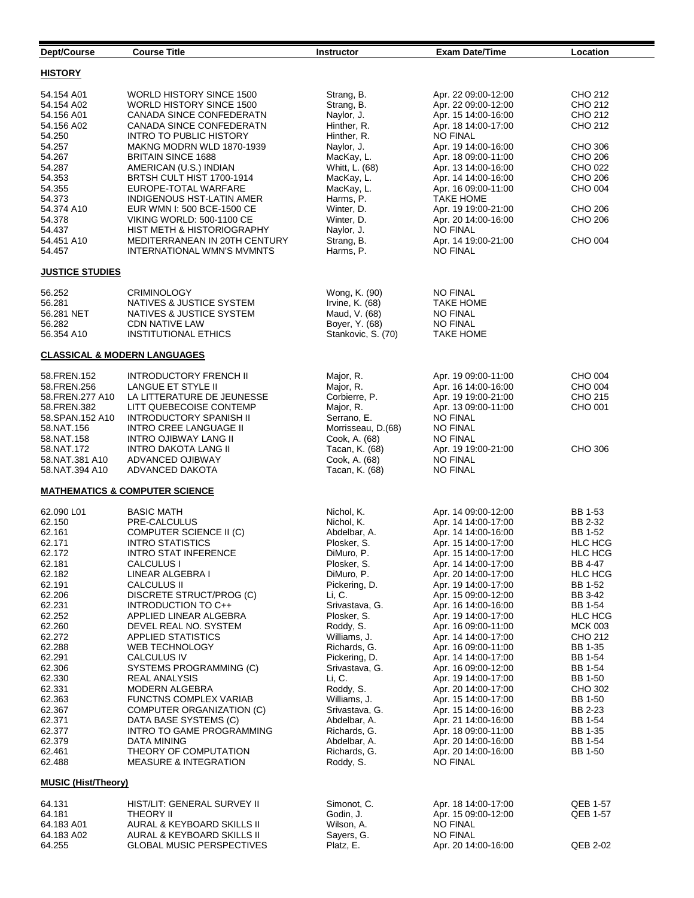| Dept/Course                                                                                                                                                                                                                                                                              | <b>Course Title</b>                                                                                                                                                                                                                                                                                                                                                                                                                                                                                                                                                                                                     | <b>Instructor</b>                                                                                                                                                                                                                                                                                                                                                                    | <b>Exam Date/Time</b>                                                                                                                                                                                                                                                                                                                                                                                                                                                                                                                                                                   | Location                                                                                                                                                                                                                                                                                                |
|------------------------------------------------------------------------------------------------------------------------------------------------------------------------------------------------------------------------------------------------------------------------------------------|-------------------------------------------------------------------------------------------------------------------------------------------------------------------------------------------------------------------------------------------------------------------------------------------------------------------------------------------------------------------------------------------------------------------------------------------------------------------------------------------------------------------------------------------------------------------------------------------------------------------------|--------------------------------------------------------------------------------------------------------------------------------------------------------------------------------------------------------------------------------------------------------------------------------------------------------------------------------------------------------------------------------------|-----------------------------------------------------------------------------------------------------------------------------------------------------------------------------------------------------------------------------------------------------------------------------------------------------------------------------------------------------------------------------------------------------------------------------------------------------------------------------------------------------------------------------------------------------------------------------------------|---------------------------------------------------------------------------------------------------------------------------------------------------------------------------------------------------------------------------------------------------------------------------------------------------------|
| <b>HISTORY</b>                                                                                                                                                                                                                                                                           |                                                                                                                                                                                                                                                                                                                                                                                                                                                                                                                                                                                                                         |                                                                                                                                                                                                                                                                                                                                                                                      |                                                                                                                                                                                                                                                                                                                                                                                                                                                                                                                                                                                         |                                                                                                                                                                                                                                                                                                         |
| 54.154 A01<br>54.154 A02<br>54.156 A01<br>54.156 A02<br>54.250                                                                                                                                                                                                                           | <b>WORLD HISTORY SINCE 1500</b><br>WORLD HISTORY SINCE 1500<br>CANADA SINCE CONFEDERATN<br>CANADA SINCE CONFEDERATN<br><b>INTRO TO PUBLIC HISTORY</b>                                                                                                                                                                                                                                                                                                                                                                                                                                                                   | Strang, B.<br>Strang, B.<br>Naylor, J.<br>Hinther, R.<br>Hinther, R.                                                                                                                                                                                                                                                                                                                 | Apr. 22 09:00-12:00<br>Apr. 22 09:00-12:00<br>Apr. 15 14:00-16:00<br>Apr. 18 14:00-17:00<br><b>NO FINAL</b>                                                                                                                                                                                                                                                                                                                                                                                                                                                                             | CHO 212<br>CHO 212<br>CHO 212<br>CHO 212                                                                                                                                                                                                                                                                |
| 54.257<br>54.267<br>54.287<br>54.353<br>54.355<br>54.373                                                                                                                                                                                                                                 | MAKNG MODRN WLD 1870-1939<br><b>BRITAIN SINCE 1688</b><br>AMERICAN (U.S.) INDIAN<br>BRTSH CULT HIST 1700-1914<br>EUROPE-TOTAL WARFARE<br>INDIGENOUS HST-LATIN AMER                                                                                                                                                                                                                                                                                                                                                                                                                                                      | Naylor, J.<br>MacKay, L.<br>Whitt, L. (68)<br>MacKay, L.<br>MacKay, L.<br>Harms, P.                                                                                                                                                                                                                                                                                                  | Apr. 19 14:00-16:00<br>Apr. 18 09:00-11:00<br>Apr. 13 14:00-16:00<br>Apr. 14 14:00-16:00<br>Apr. 16 09:00-11:00<br>TAKE HOME                                                                                                                                                                                                                                                                                                                                                                                                                                                            | CHO 306<br>CHO 206<br>CHO 022<br>CHO 206<br>CHO 004                                                                                                                                                                                                                                                     |
| 54.374 A10<br>54.378<br>54.437<br>54.451 A10<br>54.457                                                                                                                                                                                                                                   | EUR WMN I: 500 BCE-1500 CE<br><b>VIKING WORLD: 500-1100 CE</b><br>HIST METH & HISTORIOGRAPHY<br>MEDITERRANEAN IN 20TH CENTURY<br>INTERNATIONAL WMN'S MVMNTS                                                                                                                                                                                                                                                                                                                                                                                                                                                             | Winter, D.<br>Winter, D.<br>Naylor, J.<br>Strang, B.<br>Harms, P.                                                                                                                                                                                                                                                                                                                    | Apr. 19 19:00-21:00<br>Apr. 20 14:00-16:00<br><b>NO FINAL</b><br>Apr. 14 19:00-21:00<br><b>NO FINAL</b>                                                                                                                                                                                                                                                                                                                                                                                                                                                                                 | CHO 206<br>CHO 206<br>CHO 004                                                                                                                                                                                                                                                                           |
| <b>JUSTICE STUDIES</b>                                                                                                                                                                                                                                                                   |                                                                                                                                                                                                                                                                                                                                                                                                                                                                                                                                                                                                                         |                                                                                                                                                                                                                                                                                                                                                                                      |                                                                                                                                                                                                                                                                                                                                                                                                                                                                                                                                                                                         |                                                                                                                                                                                                                                                                                                         |
| 56.252<br>56.281<br>56.281 NET<br>56.282<br>56.354 A10                                                                                                                                                                                                                                   | <b>CRIMINOLOGY</b><br>NATIVES & JUSTICE SYSTEM<br>NATIVES & JUSTICE SYSTEM<br><b>CDN NATIVE LAW</b><br><b>INSTITUTIONAL ETHICS</b>                                                                                                                                                                                                                                                                                                                                                                                                                                                                                      | Wong, K. (90)<br>Irvine, K. (68)<br>Maud, V. (68)<br>Boyer, Y. (68)<br>Stankovic, S. (70)                                                                                                                                                                                                                                                                                            | <b>NO FINAL</b><br>TAKE HOME<br><b>NO FINAL</b><br><b>NO FINAL</b><br>TAKE HOME                                                                                                                                                                                                                                                                                                                                                                                                                                                                                                         |                                                                                                                                                                                                                                                                                                         |
| <b>CLASSICAL &amp; MODERN LANGUAGES</b>                                                                                                                                                                                                                                                  |                                                                                                                                                                                                                                                                                                                                                                                                                                                                                                                                                                                                                         |                                                                                                                                                                                                                                                                                                                                                                                      |                                                                                                                                                                                                                                                                                                                                                                                                                                                                                                                                                                                         |                                                                                                                                                                                                                                                                                                         |
| 58.FREN.152<br>58.FREN.256<br>58.FREN.277 A10<br>58.FREN.382<br>58.SPAN.152 A10<br>58.NAT.156<br>58.NAT.158                                                                                                                                                                              | <b>INTRODUCTORY FRENCH II</b><br>LANGUE ET STYLE II<br>LA LITTERATURE DE JEUNESSE<br>LITT QUEBECOISE CONTEMP<br><b>INTRODUCTORY SPANISH II</b><br>INTRO CREE LANGUAGE II<br>INTRO OJIBWAY LANG II                                                                                                                                                                                                                                                                                                                                                                                                                       | Major, R.<br>Major, R.<br>Corbierre, P.<br>Major, R.<br>Serrano, E.<br>Morrisseau, D.(68)<br>Cook, A. (68)                                                                                                                                                                                                                                                                           | Apr. 19 09:00-11:00<br>Apr. 16 14:00-16:00<br>Apr. 19 19:00-21:00<br>Apr. 13 09:00-11:00<br><b>NO FINAL</b><br><b>NO FINAL</b><br>NO FINAL                                                                                                                                                                                                                                                                                                                                                                                                                                              | CHO 004<br>CHO 004<br>CHO 215<br>CHO 001                                                                                                                                                                                                                                                                |
| 58.NAT.172<br>58.NAT.381 A10<br>58.NAT.394 A10                                                                                                                                                                                                                                           | INTRO DAKOTA LANG II<br><b>ADVANCED OJIBWAY</b><br>ADVANCED DAKOTA                                                                                                                                                                                                                                                                                                                                                                                                                                                                                                                                                      | Tacan, K. (68)<br>Cook, A. (68)<br>Tacan, K. (68)                                                                                                                                                                                                                                                                                                                                    | Apr. 19 19:00-21:00<br><b>NO FINAL</b><br><b>NO FINAL</b>                                                                                                                                                                                                                                                                                                                                                                                                                                                                                                                               | CHO 306                                                                                                                                                                                                                                                                                                 |
|                                                                                                                                                                                                                                                                                          | <b>MATHEMATICS &amp; COMPUTER SCIENCE</b>                                                                                                                                                                                                                                                                                                                                                                                                                                                                                                                                                                               |                                                                                                                                                                                                                                                                                                                                                                                      |                                                                                                                                                                                                                                                                                                                                                                                                                                                                                                                                                                                         |                                                                                                                                                                                                                                                                                                         |
| 62.090 L01<br>62.150<br>62.161<br>62.171<br>62.172<br>62.181<br>62.182<br>62.191<br>62.206<br>62.231<br>62.252<br>62.260<br>62.272<br>62.288<br>62.291<br>62.306<br>62.330<br>62.331<br>62.363<br>62.367<br>62.371<br>62.377<br>62.379<br>62.461<br>62.488<br><b>MUSIC (Hist/Theory)</b> | <b>BASIC MATH</b><br>PRE-CALCULUS<br>COMPUTER SCIENCE II (C)<br><b>INTRO STATISTICS</b><br>INTRO STAT INFERENCE<br>CALCULUS I<br>LINEAR ALGEBRA I<br><b>CALCULUS II</b><br>DISCRETE STRUCT/PROG (C)<br>INTRODUCTION TO C++<br>APPLIED LINEAR ALGEBRA<br>DEVEL REAL NO. SYSTEM<br>APPLIED STATISTICS<br><b>WEB TECHNOLOGY</b><br>CALCULUS IV<br>SYSTEMS PROGRAMMING (C)<br><b>REAL ANALYSIS</b><br><b>MODERN ALGEBRA</b><br><b>FUNCTNS COMPLEX VARIAB</b><br>COMPUTER ORGANIZATION (C)<br>DATA BASE SYSTEMS (C)<br>INTRO TO GAME PROGRAMMING<br>DATA MINING<br>THEORY OF COMPUTATION<br><b>MEASURE &amp; INTEGRATION</b> | Nichol, K.<br>Nichol, K.<br>Abdelbar, A.<br>Plosker, S.<br>DiMuro, P.<br>Plosker, S.<br>DiMuro, P.<br>Pickering, D.<br>Li, C.<br>Srivastava, G.<br>Plosker, S.<br>Roddy, S.<br>Williams, J.<br>Richards, G.<br>Pickering, D.<br>Srivastava, G.<br>Li, C.<br>Roddy, S.<br>Williams, J.<br>Srivastava, G.<br>Abdelbar, A.<br>Richards, G.<br>Abdelbar, A.<br>Richards, G.<br>Roddy, S. | Apr. 14 09:00-12:00<br>Apr. 14 14:00-17:00<br>Apr. 14 14:00-16:00<br>Apr. 15 14:00-17:00<br>Apr. 15 14:00-17:00<br>Apr. 14 14:00-17:00<br>Apr. 20 14:00-17:00<br>Apr. 19 14:00-17:00<br>Apr. 15 09:00-12:00<br>Apr. 16 14:00-16:00<br>Apr. 19 14:00-17:00<br>Apr. 16 09:00-11:00<br>Apr. 14 14:00-17:00<br>Apr. 16 09:00-11:00<br>Apr. 14 14:00-17:00<br>Apr. 16 09:00-12:00<br>Apr. 19 14:00-17:00<br>Apr. 20 14:00-17:00<br>Apr. 15 14:00-17:00<br>Apr. 15 14:00-16:00<br>Apr. 21 14:00-16:00<br>Apr. 18 09:00-11:00<br>Apr. 20 14:00-16:00<br>Apr. 20 14:00-16:00<br><b>NO FINAL</b> | BB 1-53<br>BB 2-32<br>BB 1-52<br><b>HLC HCG</b><br><b>HLC HCG</b><br>BB 4-47<br><b>HLC HCG</b><br>BB 1-52<br>BB 3-42<br>BB 1-54<br><b>HLC HCG</b><br><b>MCK 003</b><br>CHO 212<br>BB 1-35<br>BB 1-54<br>BB 1-54<br>BB 1-50<br>CHO 302<br>BB 1-50<br>BB 2-23<br>BB 1-54<br>BB 1-35<br>BB 1-54<br>BB 1-50 |
| 64.131                                                                                                                                                                                                                                                                                   | HIST/LIT: GENERAL SURVEY II                                                                                                                                                                                                                                                                                                                                                                                                                                                                                                                                                                                             | Simonot, C.                                                                                                                                                                                                                                                                                                                                                                          | Apr. 18 14:00-17:00                                                                                                                                                                                                                                                                                                                                                                                                                                                                                                                                                                     | QEB 1-57                                                                                                                                                                                                                                                                                                |
| 64.181<br>64.183 A01<br>64.183 A02<br>64.255                                                                                                                                                                                                                                             | THEORY II<br>AURAL & KEYBOARD SKILLS II<br>AURAL & KEYBOARD SKILLS II<br><b>GLOBAL MUSIC PERSPECTIVES</b>                                                                                                                                                                                                                                                                                                                                                                                                                                                                                                               | Godin, J.<br>Wilson, A.<br>Sayers, G.<br>Platz, E.                                                                                                                                                                                                                                                                                                                                   | Apr. 15 09:00-12:00<br><b>NO FINAL</b><br><b>NO FINAL</b><br>Apr. 20 14:00-16:00                                                                                                                                                                                                                                                                                                                                                                                                                                                                                                        | QEB 1-57<br>QEB 2-02                                                                                                                                                                                                                                                                                    |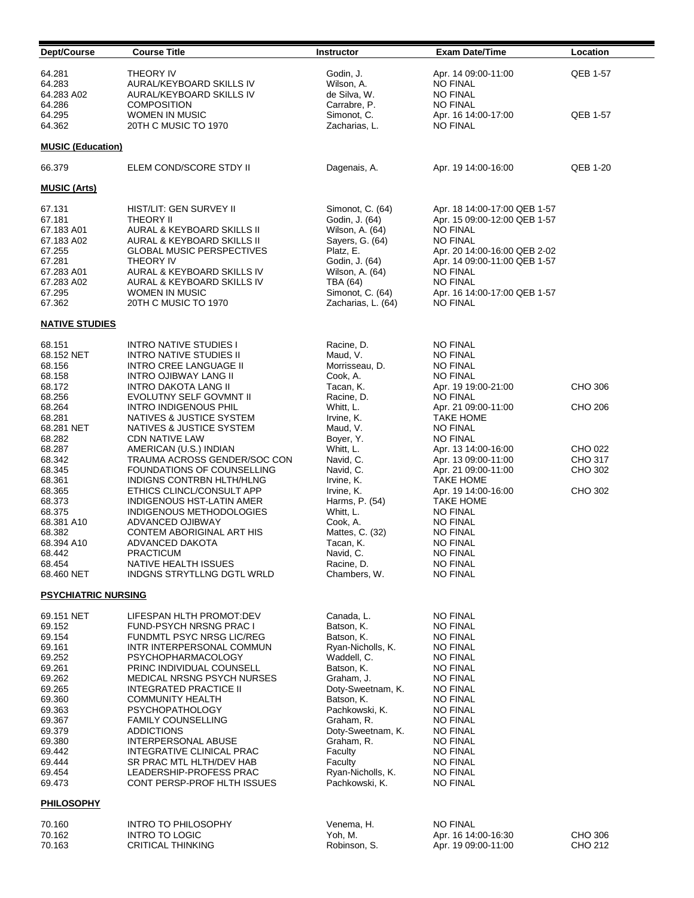| Dept/Course                                                                                                                                                      | <b>Course Title</b>                                                                                                                                                                                                                                                                                                                                                                                                                                             | <b>Instructor</b>                                                                                                                                                                                                                                       | <b>Exam Date/Time</b>                                                                                                                                                                                                                                                                                 | Location                      |
|------------------------------------------------------------------------------------------------------------------------------------------------------------------|-----------------------------------------------------------------------------------------------------------------------------------------------------------------------------------------------------------------------------------------------------------------------------------------------------------------------------------------------------------------------------------------------------------------------------------------------------------------|---------------------------------------------------------------------------------------------------------------------------------------------------------------------------------------------------------------------------------------------------------|-------------------------------------------------------------------------------------------------------------------------------------------------------------------------------------------------------------------------------------------------------------------------------------------------------|-------------------------------|
| 64.281<br>64.283<br>64.283 A02                                                                                                                                   | <b>THEORY IV</b><br>AURAL/KEYBOARD SKILLS IV<br>AURAL/KEYBOARD SKILLS IV<br><b>COMPOSITION</b>                                                                                                                                                                                                                                                                                                                                                                  | Godin, J.<br>Wilson, A.<br>de Silva, W.                                                                                                                                                                                                                 | Apr. 14 09:00-11:00<br><b>NO FINAL</b><br><b>NO FINAL</b><br><b>NO FINAL</b>                                                                                                                                                                                                                          | QEB 1-57                      |
| 64.286<br>64.295<br>64.362                                                                                                                                       | <b>WOMEN IN MUSIC</b><br>20TH C MUSIC TO 1970                                                                                                                                                                                                                                                                                                                                                                                                                   | Carrabre, P.<br>Simonot, C.<br>Zacharias, L.                                                                                                                                                                                                            | Apr. 16 14:00-17:00<br><b>NO FINAL</b>                                                                                                                                                                                                                                                                | QEB 1-57                      |
| <b>MUSIC (Education)</b>                                                                                                                                         |                                                                                                                                                                                                                                                                                                                                                                                                                                                                 |                                                                                                                                                                                                                                                         |                                                                                                                                                                                                                                                                                                       |                               |
| 66.379                                                                                                                                                           | ELEM COND/SCORE STDY II                                                                                                                                                                                                                                                                                                                                                                                                                                         | Dagenais, A.                                                                                                                                                                                                                                            | Apr. 19 14:00-16:00                                                                                                                                                                                                                                                                                   | <b>QEB 1-20</b>               |
| <b>MUSIC (Arts)</b>                                                                                                                                              |                                                                                                                                                                                                                                                                                                                                                                                                                                                                 |                                                                                                                                                                                                                                                         |                                                                                                                                                                                                                                                                                                       |                               |
| 67.131<br>67.181<br>67.183 A01<br>67.183 A02<br>67.255<br>67.281<br>67.283 A01<br>67.283 A02<br>67.295<br>67.362                                                 | HIST/LIT: GEN SURVEY II<br><b>THEORY II</b><br>AURAL & KEYBOARD SKILLS II<br>AURAL & KEYBOARD SKILLS II<br><b>GLOBAL MUSIC PERSPECTIVES</b><br><b>THEORY IV</b><br>AURAL & KEYBOARD SKILLS IV<br>AURAL & KEYBOARD SKILLS IV<br><b>WOMEN IN MUSIC</b><br>20TH C MUSIC TO 1970                                                                                                                                                                                    | Simonot, C. (64)<br>Godin, J. (64)<br>Wilson, A. (64)<br>Sayers, G. (64)<br>Platz, E.<br>Godin, J. (64)<br>Wilson, A. (64)<br>TBA (64)<br>Simonot, C. (64)<br>Zacharias, L. (64)                                                                        | Apr. 18 14:00-17:00 QEB 1-57<br>Apr. 15 09:00-12:00 QEB 1-57<br><b>NO FINAL</b><br><b>NO FINAL</b><br>Apr. 20 14:00-16:00 QEB 2-02<br>Apr. 14 09:00-11:00 QEB 1-57<br><b>NO FINAL</b><br>NO FINAL<br>Apr. 16 14:00-17:00 QEB 1-57<br><b>NO FINAL</b>                                                  |                               |
| <b>NATIVE STUDIES</b>                                                                                                                                            |                                                                                                                                                                                                                                                                                                                                                                                                                                                                 |                                                                                                                                                                                                                                                         |                                                                                                                                                                                                                                                                                                       |                               |
| 68.151<br>68.152 NET<br>68.156<br>68.158<br>68.172                                                                                                               | <b>INTRO NATIVE STUDIES I</b><br><b>INTRO NATIVE STUDIES II</b><br><b>INTRO CREE LANGUAGE II</b><br><b>INTRO OJIBWAY LANG II</b><br>INTRO DAKOTA LANG II                                                                                                                                                                                                                                                                                                        | Racine, D.<br>Maud, V.<br>Morrisseau, D.<br>Cook, A.<br>Tacan, K.                                                                                                                                                                                       | NO FINAL<br><b>NO FINAL</b><br><b>NO FINAL</b><br>NO FINAL<br>Apr. 19 19:00-21:00                                                                                                                                                                                                                     | CHO 306                       |
| 68.256<br>68.264<br>68.281<br>68.281 NET<br>68.282                                                                                                               | EVOLUTNY SELF GOVMNT II<br><b>INTRO INDIGENOUS PHIL</b><br>NATIVES & JUSTICE SYSTEM<br>NATIVES & JUSTICE SYSTEM<br><b>CDN NATIVE LAW</b>                                                                                                                                                                                                                                                                                                                        | Racine, D.<br>Whitt, L.<br>Irvine, K.<br>Maud, V.<br>Boyer, Y.                                                                                                                                                                                          | <b>NO FINAL</b><br>Apr. 21 09:00-11:00<br><b>TAKE HOME</b><br><b>NO FINAL</b><br><b>NO FINAL</b>                                                                                                                                                                                                      | CHO 206                       |
| 68.287<br>68.342<br>68.345<br>68.361                                                                                                                             | AMERICAN (U.S.) INDIAN<br>TRAUMA ACROSS GENDER/SOC CON<br>FOUNDATIONS OF COUNSELLING<br>INDIGNS CONTRBN HLTH/HLNG                                                                                                                                                                                                                                                                                                                                               | Whitt, L.<br>Navid, C.<br>Navid, C.<br>Irvine, K.                                                                                                                                                                                                       | Apr. 13 14:00-16:00<br>Apr. 13 09:00-11:00<br>Apr. 21 09:00-11:00<br><b>TAKE HOME</b>                                                                                                                                                                                                                 | CHO 022<br>CHO 317<br>CHO 302 |
| 68.365<br>68.373<br>68.375<br>68.381 A10<br>68.382                                                                                                               | ETHICS CLINCL/CONSULT APP<br><b>INDIGENOUS HST-LATIN AMER</b><br>INDIGENOUS METHODOLOGIES<br>ADVANCED OJIBWAY<br>CONTEM ABORIGINAL ART HIS                                                                                                                                                                                                                                                                                                                      | Irvine, K.<br>Harms, P. (54)<br>Whitt, L.<br>Cook, A.<br>Mattes, C. (32)                                                                                                                                                                                | Apr. 19 14:00-16:00<br><b>TAKE HOME</b><br><b>NO FINAL</b><br><b>NO FINAL</b><br><b>NO FINAL</b>                                                                                                                                                                                                      | CHO 302                       |
| 68.394 A10<br>68.442<br>68.454<br>68.460 NET                                                                                                                     | ADVANCED DAKOTA<br><b>PRACTICUM</b><br>NATIVE HEALTH ISSUES<br>INDGNS STRYTLLNG DGTL WRLD                                                                                                                                                                                                                                                                                                                                                                       | Tacan, K.<br>Navid, C.<br>Racine, D.<br>Chambers, W.                                                                                                                                                                                                    | <b>NO FINAL</b><br>NO FINAL<br><b>NO FINAL</b><br>NO FINAL                                                                                                                                                                                                                                            |                               |
| <b>PSYCHIATRIC NURSING</b>                                                                                                                                       |                                                                                                                                                                                                                                                                                                                                                                                                                                                                 |                                                                                                                                                                                                                                                         |                                                                                                                                                                                                                                                                                                       |                               |
| 69.151 NET<br>69.152<br>69.154<br>69.161<br>69.252<br>69.261<br>69.262<br>69.265<br>69.360<br>69.363<br>69.367<br>69.379<br>69.380<br>69.442<br>69.444<br>69.454 | LIFESPAN HLTH PROMOT:DEV<br>FUND-PSYCH NRSNG PRAC I<br>FUNDMTL PSYC NRSG LIC/REG<br>INTR INTERPERSONAL COMMUN<br><b>PSYCHOPHARMACOLOGY</b><br>PRINC INDIVIDUAL COUNSELL<br><b>MEDICAL NRSNG PSYCH NURSES</b><br><b>INTEGRATED PRACTICE II</b><br><b>COMMUNITY HEALTH</b><br><b>PSYCHOPATHOLOGY</b><br><b>FAMILY COUNSELLING</b><br>ADDICTIONS<br><b>INTERPERSONAL ABUSE</b><br>INTEGRATIVE CLINICAL PRAC<br>SR PRAC MTL HLTH/DEV HAB<br>LEADERSHIP-PROFESS PRAC | Canada, L.<br>Batson, K.<br>Batson, K.<br>Ryan-Nicholls, K.<br>Waddell, C.<br>Batson, K.<br>Graham, J.<br>Doty-Sweetnam, K.<br>Batson, K.<br>Pachkowski, K.<br>Graham, R.<br>Doty-Sweetnam, K.<br>Graham, R.<br>Faculty<br>Faculty<br>Ryan-Nicholls, K. | <b>NO FINAL</b><br><b>NO FINAL</b><br><b>NO FINAL</b><br><b>NO FINAL</b><br>NO FINAL<br><b>NO FINAL</b><br><b>NO FINAL</b><br><b>NO FINAL</b><br><b>NO FINAL</b><br><b>NO FINAL</b><br><b>NO FINAL</b><br><b>NO FINAL</b><br><b>NO FINAL</b><br><b>NO FINAL</b><br><b>NO FINAL</b><br><b>NO FINAL</b> |                               |
| 69.473<br>PHILOSOPHY                                                                                                                                             | CONT PERSP-PROF HLTH ISSUES                                                                                                                                                                                                                                                                                                                                                                                                                                     | Pachkowski, K.                                                                                                                                                                                                                                          | <b>NO FINAL</b>                                                                                                                                                                                                                                                                                       |                               |
| 70.160<br>70.162<br>70.163                                                                                                                                       | <b>INTRO TO PHILOSOPHY</b><br><b>INTRO TO LOGIC</b><br><b>CRITICAL THINKING</b>                                                                                                                                                                                                                                                                                                                                                                                 | Venema, H.<br>Yoh, M.<br>Robinson, S.                                                                                                                                                                                                                   | <b>NO FINAL</b><br>Apr. 16 14:00-16:30<br>Apr. 19 09:00-11:00                                                                                                                                                                                                                                         | <b>CHO 306</b><br>CHO 212     |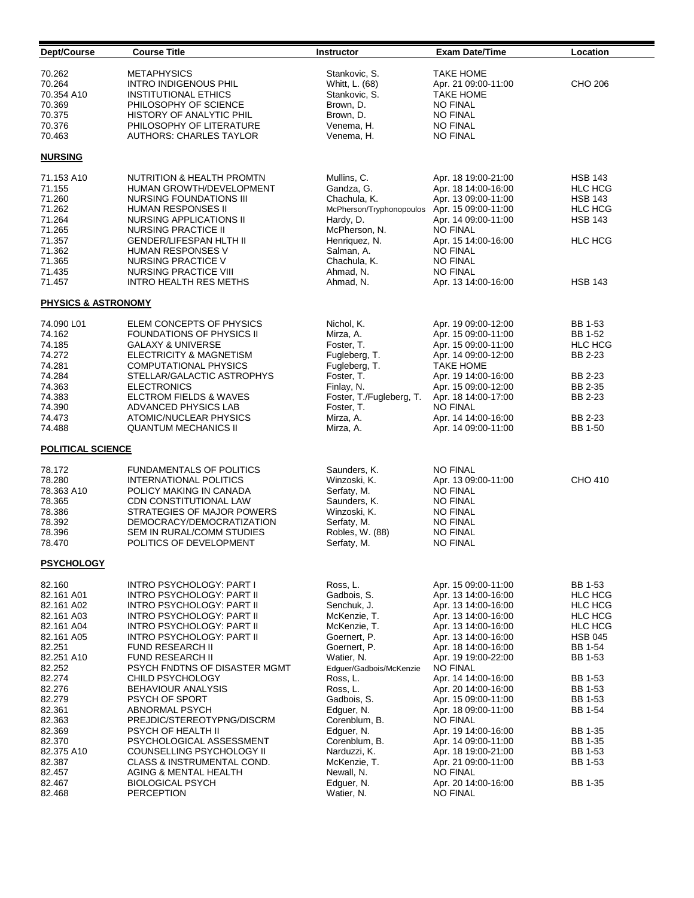| Dept/Course                                                                                                                                                                                                                                | <b>Course Title</b>                                                                                                                                                                                                                                                                                                                                                                                                                                                                                                                                                                                | <b>Instructor</b>                                                                                                                                                                                                                                                                                                              | <b>Exam Date/Time</b>                                                                                                                                                                                                                                                                                                                                                                                                                                                           | Location                                                                                                                                                                                                                   |
|--------------------------------------------------------------------------------------------------------------------------------------------------------------------------------------------------------------------------------------------|----------------------------------------------------------------------------------------------------------------------------------------------------------------------------------------------------------------------------------------------------------------------------------------------------------------------------------------------------------------------------------------------------------------------------------------------------------------------------------------------------------------------------------------------------------------------------------------------------|--------------------------------------------------------------------------------------------------------------------------------------------------------------------------------------------------------------------------------------------------------------------------------------------------------------------------------|---------------------------------------------------------------------------------------------------------------------------------------------------------------------------------------------------------------------------------------------------------------------------------------------------------------------------------------------------------------------------------------------------------------------------------------------------------------------------------|----------------------------------------------------------------------------------------------------------------------------------------------------------------------------------------------------------------------------|
| 70.262<br>70.264<br>70.354 A10<br>70.369<br>70.375<br>70.376<br>70.463                                                                                                                                                                     | <b>METAPHYSICS</b><br>INTRO INDIGENOUS PHIL<br>INSTITUTIONAL ETHICS<br>PHILOSOPHY OF SCIENCE<br>HISTORY OF ANALYTIC PHIL<br>PHILOSOPHY OF LITERATURE<br>AUTHORS: CHARLES TAYLOR                                                                                                                                                                                                                                                                                                                                                                                                                    | Stankovic, S.<br>Whitt, L. (68)<br>Stankovic, S.<br>Brown, D.<br>Brown, D.<br>Venema, H.<br>Venema, H.                                                                                                                                                                                                                         | <b>TAKE HOME</b><br>Apr. 21 09:00-11:00<br><b>TAKE HOME</b><br><b>NO FINAL</b><br><b>NO FINAL</b><br><b>NO FINAL</b><br><b>NO FINAL</b>                                                                                                                                                                                                                                                                                                                                         | CHO 206                                                                                                                                                                                                                    |
| <b>NURSING</b>                                                                                                                                                                                                                             |                                                                                                                                                                                                                                                                                                                                                                                                                                                                                                                                                                                                    |                                                                                                                                                                                                                                                                                                                                |                                                                                                                                                                                                                                                                                                                                                                                                                                                                                 |                                                                                                                                                                                                                            |
| 71.153 A10<br>71.155<br>71.260<br>71.262<br>71.264<br>71.265<br>71.357<br>71.362<br>71.365<br>71.435<br>71.457                                                                                                                             | NUTRITION & HEALTH PROMTN<br>HUMAN GROWTH/DEVELOPMENT<br>NURSING FOUNDATIONS III<br><b>HUMAN RESPONSES II</b><br>NURSING APPLICATIONS II<br><b>NURSING PRACTICE II</b><br>GENDER/LIFESPAN HLTH II<br><b>HUMAN RESPONSES V</b><br>NURSING PRACTICE V<br>NURSING PRACTICE VIII<br><b>INTRO HEALTH RES METHS</b>                                                                                                                                                                                                                                                                                      | Mullins, C.<br>Gandza, G.<br>Chachula, K.<br>McPherson/Tryphonopoulos<br>Hardy, D.<br>McPherson, N.<br>Henriquez, N.<br>Salman, A.<br>Chachula, K.<br>Ahmad, N.<br>Ahmad, N.                                                                                                                                                   | Apr. 18 19:00-21:00<br>Apr. 18 14:00-16:00<br>Apr. 13 09:00-11:00<br>Apr. 15 09:00-11:00<br>Apr. 14 09:00-11:00<br><b>NO FINAL</b><br>Apr. 15 14:00-16:00<br><b>NO FINAL</b><br><b>NO FINAL</b><br><b>NO FINAL</b><br>Apr. 13 14:00-16:00                                                                                                                                                                                                                                       | <b>HSB 143</b><br><b>HLC HCG</b><br><b>HSB 143</b><br><b>HLC HCG</b><br><b>HSB 143</b><br><b>HLC HCG</b><br><b>HSB 143</b>                                                                                                 |
| <b>PHYSICS &amp; ASTRONOMY</b>                                                                                                                                                                                                             |                                                                                                                                                                                                                                                                                                                                                                                                                                                                                                                                                                                                    |                                                                                                                                                                                                                                                                                                                                |                                                                                                                                                                                                                                                                                                                                                                                                                                                                                 |                                                                                                                                                                                                                            |
| 74.090 L01<br>74.162<br>74.185<br>74.272<br>74.281<br>74.284<br>74.363<br>74.383<br>74.390<br>74.473<br>74.488                                                                                                                             | ELEM CONCEPTS OF PHYSICS<br><b>FOUNDATIONS OF PHYSICS II</b><br><b>GALAXY &amp; UNIVERSE</b><br>ELECTRICITY & MAGNETISM<br><b>COMPUTATIONAL PHYSICS</b><br>STELLAR/GALACTIC ASTROPHYS<br><b>ELECTRONICS</b><br>ELCTROM FIELDS & WAVES<br>ADVANCED PHYSICS LAB<br>ATOMIC/NUCLEAR PHYSICS<br><b>QUANTUM MECHANICS II</b>                                                                                                                                                                                                                                                                             | Nichol, K.<br>Mirza, A.<br>Foster, T.<br>Fugleberg, T.<br>Fugleberg, T.<br>Foster, T.<br>Finlay, N.<br>Foster, T./Fugleberg, T.<br>Foster, T.<br>Mirza, A.<br>Mirza, A.                                                                                                                                                        | Apr. 19 09:00-12:00<br>Apr. 15 09:00-11:00<br>Apr. 15 09:00-11:00<br>Apr. 14 09:00-12:00<br><b>TAKE HOME</b><br>Apr. 19 14:00-16:00<br>Apr. 15 09:00-12:00<br>Apr. 18 14:00-17:00<br><b>NO FINAL</b><br>Apr. 14 14:00-16:00<br>Apr. 14 09:00-11:00                                                                                                                                                                                                                              | BB 1-53<br>BB 1-52<br><b>HLC HCG</b><br><b>BB 2-23</b><br>BB 2-23<br>BB 2-35<br>BB 2-23<br>BB 2-23<br>BB 1-50                                                                                                              |
| <b>POLITICAL SCIENCE</b>                                                                                                                                                                                                                   |                                                                                                                                                                                                                                                                                                                                                                                                                                                                                                                                                                                                    |                                                                                                                                                                                                                                                                                                                                |                                                                                                                                                                                                                                                                                                                                                                                                                                                                                 |                                                                                                                                                                                                                            |
| 78.172<br>78.280<br>78.363 A10<br>78.365<br>78.386<br>78.392<br>78.396<br>78.470                                                                                                                                                           | <b>FUNDAMENTALS OF POLITICS</b><br><b>INTERNATIONAL POLITICS</b><br>POLICY MAKING IN CANADA<br>CDN CONSTITUTIONAL LAW<br>STRATEGIES OF MAJOR POWERS<br>DEMOCRACY/DEMOCRATIZATION<br>SEM IN RURAL/COMM STUDIES<br>POLITICS OF DEVELOPMENT                                                                                                                                                                                                                                                                                                                                                           | Saunders, K.<br>Winzoski, K.<br>Serfaty, M.<br>Saunders, K.<br>Winzoski, K.<br>Serfaty, M.<br>Robles, W. (88)<br>Serfaty, M.                                                                                                                                                                                                   | <b>NO FINAL</b><br>Apr. 13 09:00-11:00<br><b>NO FINAL</b><br><b>NO FINAL</b><br><b>NO FINAL</b><br><b>NO FINAL</b><br><b>NO FINAL</b><br><b>NO FINAL</b>                                                                                                                                                                                                                                                                                                                        | CHO 410                                                                                                                                                                                                                    |
| <b>PSYCHOLOGY</b>                                                                                                                                                                                                                          |                                                                                                                                                                                                                                                                                                                                                                                                                                                                                                                                                                                                    |                                                                                                                                                                                                                                                                                                                                |                                                                                                                                                                                                                                                                                                                                                                                                                                                                                 |                                                                                                                                                                                                                            |
| 82.160<br>82.161 A01<br>82.161 A02<br>82.161 A03<br>82.161 A04<br>82.161 A05<br>82.251<br>82.251 A10<br>82.252<br>82.274<br>82.276<br>82.279<br>82.361<br>82.363<br>82.369<br>82.370<br>82.375 A10<br>82.387<br>82.457<br>82.467<br>82.468 | INTRO PSYCHOLOGY: PART I<br><b>INTRO PSYCHOLOGY: PART II</b><br>INTRO PSYCHOLOGY: PART II<br><b>INTRO PSYCHOLOGY: PART II</b><br><b>INTRO PSYCHOLOGY: PART II</b><br><b>INTRO PSYCHOLOGY: PART II</b><br><b>FUND RESEARCH II</b><br>FUND RESEARCH II<br>PSYCH FNDTNS OF DISASTER MGMT<br>CHILD PSYCHOLOGY<br><b>BEHAVIOUR ANALYSIS</b><br>PSYCH OF SPORT<br>ABNORMAL PSYCH<br>PREJDIC/STEREOTYPNG/DISCRM<br>PSYCH OF HEALTH II<br>PSYCHOLOGICAL ASSESSMENT<br>COUNSELLING PSYCHOLOGY II<br>CLASS & INSTRUMENTAL COND.<br><b>AGING &amp; MENTAL HEALTH</b><br><b>BIOLOGICAL PSYCH</b><br>PERCEPTION | Ross, L.<br>Gadbois, S.<br>Senchuk, J.<br>McKenzie, T.<br>McKenzie, T.<br>Goernert, P.<br>Goernert, P.<br>Watier, N.<br>Edguer/Gadbois/McKenzie<br>Ross, L.<br>Ross, L.<br>Gadbois, S.<br>Edguer, N.<br>Corenblum, B.<br>Edguer, N.<br>Corenblum, B.<br>Narduzzi, K.<br>McKenzie, T.<br>Newall, N.<br>Edguer, N.<br>Watier, N. | Apr. 15 09:00-11:00<br>Apr. 13 14:00-16:00<br>Apr. 13 14:00-16:00<br>Apr. 13 14:00-16:00<br>Apr. 13 14:00-16:00<br>Apr. 13 14:00-16:00<br>Apr. 18 14:00-16:00<br>Apr. 19 19:00-22:00<br><b>NO FINAL</b><br>Apr. 14 14:00-16:00<br>Apr. 20 14:00-16:00<br>Apr. 15 09:00-11:00<br>Apr. 18 09:00-11:00<br><b>NO FINAL</b><br>Apr. 19 14:00-16:00<br>Apr. 14 09:00-11:00<br>Apr. 18 19:00-21:00<br>Apr. 21 09:00-11:00<br><b>NO FINAL</b><br>Apr. 20 14:00-16:00<br><b>NO FINAL</b> | BB 1-53<br><b>HLC HCG</b><br><b>HLC HCG</b><br><b>HLC HCG</b><br><b>HLC HCG</b><br><b>HSB 045</b><br>BB 1-54<br>BB 1-53<br>BB 1-53<br>BB 1-53<br>BB 1-53<br>BB 1-54<br>BB 1-35<br>BB 1-35<br>BB 1-53<br>BB 1-53<br>BB 1-35 |